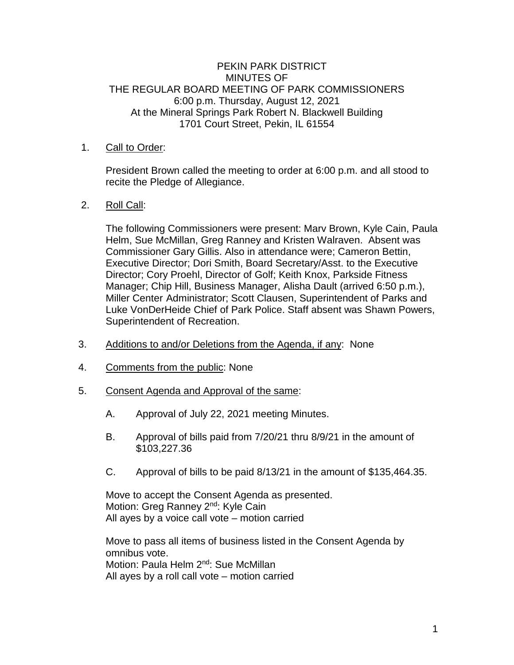## PEKIN PARK DISTRICT MINUTES OF THE REGULAR BOARD MEETING OF PARK COMMISSIONERS 6:00 p.m. Thursday, August 12, 2021 At the Mineral Springs Park Robert N. Blackwell Building 1701 Court Street, Pekin, IL 61554

## 1. Call to Order:

President Brown called the meeting to order at 6:00 p.m. and all stood to recite the Pledge of Allegiance.

## 2. Roll Call:

The following Commissioners were present: Marv Brown, Kyle Cain, Paula Helm, Sue McMillan, Greg Ranney and Kristen Walraven. Absent was Commissioner Gary Gillis. Also in attendance were; Cameron Bettin, Executive Director; Dori Smith, Board Secretary/Asst. to the Executive Director; Cory Proehl, Director of Golf; Keith Knox, Parkside Fitness Manager; Chip Hill, Business Manager, Alisha Dault (arrived 6:50 p.m.), Miller Center Administrator; Scott Clausen, Superintendent of Parks and Luke VonDerHeide Chief of Park Police. Staff absent was Shawn Powers, Superintendent of Recreation.

- 3. Additions to and/or Deletions from the Agenda, if any: None
- 4. Comments from the public: None
- 5. Consent Agenda and Approval of the same:
	- A. Approval of July 22, 2021 meeting Minutes.
	- B. Approval of bills paid from 7/20/21 thru 8/9/21 in the amount of \$103,227.36
	- C. Approval of bills to be paid 8/13/21 in the amount of \$135,464.35.

Move to accept the Consent Agenda as presented. Motion: Greg Ranney 2<sup>nd</sup>: Kyle Cain All ayes by a voice call vote – motion carried

Move to pass all items of business listed in the Consent Agenda by omnibus vote. Motion: Paula Helm 2<sup>nd</sup>: Sue McMillan All ayes by a roll call vote – motion carried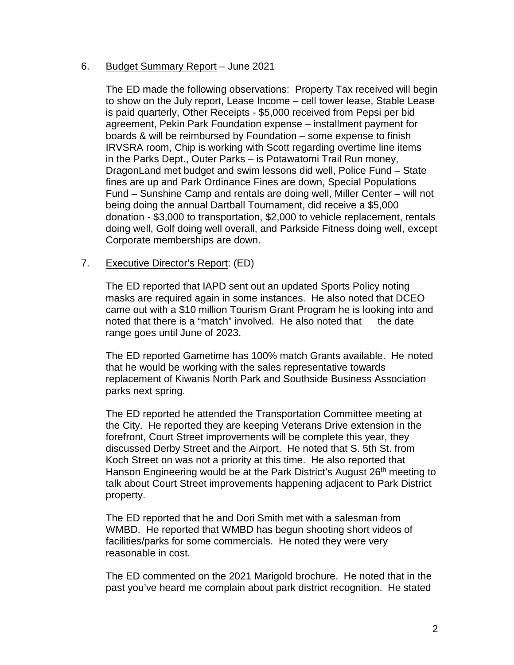## 6. Budget Summary Report – June 2021

The ED made the following observations: Property Tax received will begin to show on the July report, Lease Income – cell tower lease, Stable Lease is paid quarterly, Other Receipts - \$5,000 received from Pepsi per bid agreement, Pekin Park Foundation expense – installment payment for boards & will be reimbursed by Foundation – some expense to finish IRVSRA room, Chip is working with Scott regarding overtime line items in the Parks Dept., Outer Parks – is Potawatomi Trail Run money, DragonLand met budget and swim lessons did well, Police Fund – State fines are up and Park Ordinance Fines are down, Special Populations Fund – Sunshine Camp and rentals are doing well, Miller Center – will not being doing the annual Dartball Tournament, did receive a \$5,000 donation - \$3,000 to transportation, \$2,000 to vehicle replacement, rentals doing well, Golf doing well overall, and Parkside Fitness doing well, except Corporate memberships are down.

## 7. Executive Director's Report: (ED)

The ED reported that IAPD sent out an updated Sports Policy noting masks are required again in some instances. He also noted that DCEO came out with a \$10 million Tourism Grant Program he is looking into and noted that there is a "match" involved. He also noted that the date range goes until June of 2023.

The ED reported Gametime has 100% match Grants available. He noted that he would be working with the sales representative towards replacement of Kiwanis North Park and Southside Business Association parks next spring.

The ED reported he attended the Transportation Committee meeting at the City. He reported they are keeping Veterans Drive extension in the forefront, Court Street improvements will be complete this year, they discussed Derby Street and the Airport. He noted that S. 5th St. from Koch Street on was not a priority at this time. He also reported that Hanson Engineering would be at the Park District's August 26<sup>th</sup> meeting to talk about Court Street improvements happening adjacent to Park District property.

The ED reported that he and Dori Smith met with a salesman from WMBD. He reported that WMBD has begun shooting short videos of facilities/parks for some commercials. He noted they were very reasonable in cost.

The ED commented on the 2021 Marigold brochure. He noted that in the past you've heard me complain about park district recognition. He stated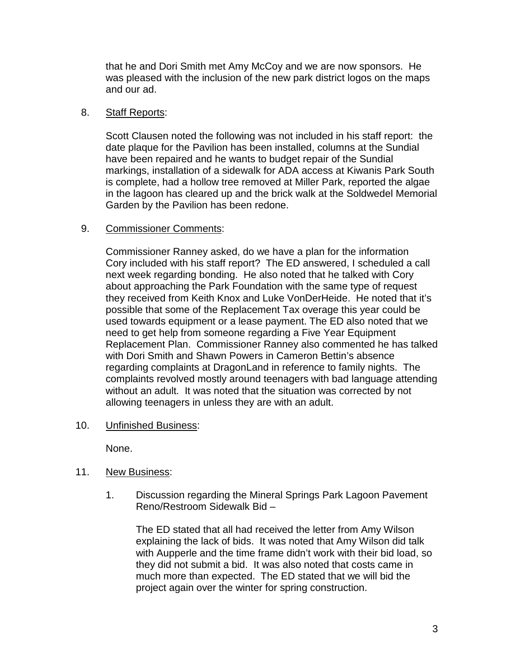that he and Dori Smith met Amy McCoy and we are now sponsors. He was pleased with the inclusion of the new park district logos on the maps and our ad.

## 8. Staff Reports:

Scott Clausen noted the following was not included in his staff report: the date plaque for the Pavilion has been installed, columns at the Sundial have been repaired and he wants to budget repair of the Sundial markings, installation of a sidewalk for ADA access at Kiwanis Park South is complete, had a hollow tree removed at Miller Park, reported the algae in the lagoon has cleared up and the brick walk at the Soldwedel Memorial Garden by the Pavilion has been redone.

## 9. Commissioner Comments:

Commissioner Ranney asked, do we have a plan for the information Cory included with his staff report? The ED answered, I scheduled a call next week regarding bonding. He also noted that he talked with Cory about approaching the Park Foundation with the same type of request they received from Keith Knox and Luke VonDerHeide. He noted that it's possible that some of the Replacement Tax overage this year could be used towards equipment or a lease payment. The ED also noted that we need to get help from someone regarding a Five Year Equipment Replacement Plan. Commissioner Ranney also commented he has talked with Dori Smith and Shawn Powers in Cameron Bettin's absence regarding complaints at DragonLand in reference to family nights. The complaints revolved mostly around teenagers with bad language attending without an adult. It was noted that the situation was corrected by not allowing teenagers in unless they are with an adult.

10. Unfinished Business:

None.

- 11. New Business:
	- 1. Discussion regarding the Mineral Springs Park Lagoon Pavement Reno/Restroom Sidewalk Bid –

The ED stated that all had received the letter from Amy Wilson explaining the lack of bids. It was noted that Amy Wilson did talk with Aupperle and the time frame didn't work with their bid load, so they did not submit a bid. It was also noted that costs came in much more than expected. The ED stated that we will bid the project again over the winter for spring construction.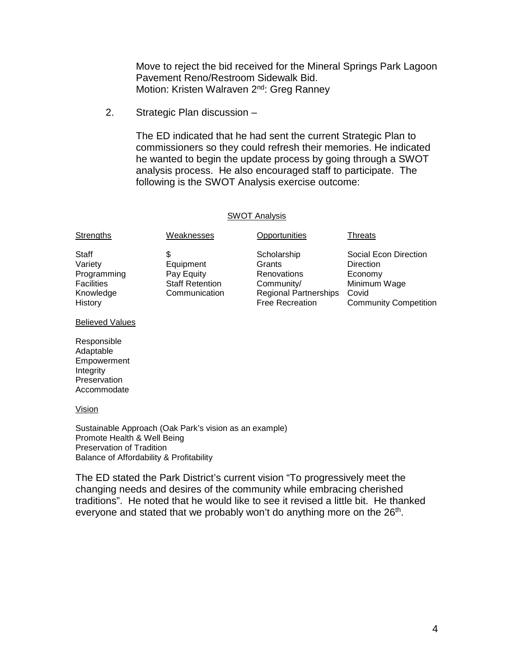Move to reject the bid received for the Mineral Springs Park Lagoon Pavement Reno/Restroom Sidewalk Bid. Motion: Kristen Walraven 2<sup>nd</sup>: Greg Ranney

2. Strategic Plan discussion –

The ED indicated that he had sent the current Strategic Plan to commissioners so they could refresh their memories. He indicated he wanted to begin the update process by going through a SWOT analysis process. He also encouraged staff to participate. The following is the SWOT Analysis exercise outcome:

### SWOT Analysis

| Staff<br>Social Econ Direction<br>Scholarship<br>Variety<br>Equipment<br>Grants<br>Direction<br>Pay Equity<br>Programming<br><b>Renovations</b><br>Economy<br><b>Staff Retention</b><br>Minimum Wage<br><b>Facilities</b><br>Community/<br><b>Regional Partnerships</b><br>Covid<br>Knowledge<br>Communication<br><b>Free Recreation</b><br>History | Strengths | Weaknesses | Opportunities | Threats                      |
|-----------------------------------------------------------------------------------------------------------------------------------------------------------------------------------------------------------------------------------------------------------------------------------------------------------------------------------------------------|-----------|------------|---------------|------------------------------|
|                                                                                                                                                                                                                                                                                                                                                     |           |            |               | <b>Community Competition</b> |

#### Believed Values

Responsible Adaptable Empowerment Integrity **Preservation** Accommodate

#### Vision

Sustainable Approach (Oak Park's vision as an example) Promote Health & Well Being Preservation of Tradition Balance of Affordability & Profitability

The ED stated the Park District's current vision "To progressively meet the changing needs and desires of the community while embracing cherished traditions". He noted that he would like to see it revised a little bit. He thanked everyone and stated that we probably won't do anything more on the 26<sup>th</sup>.